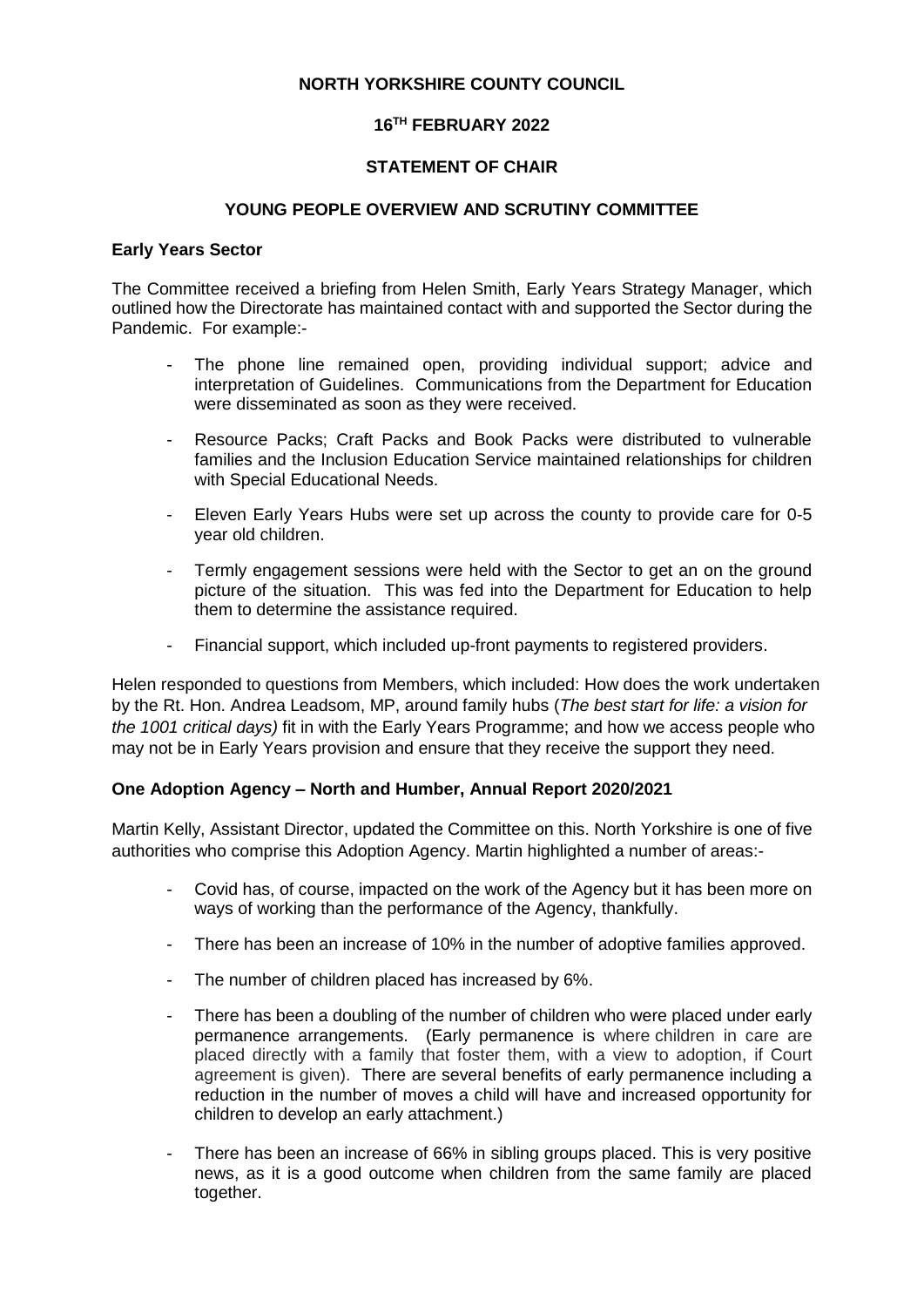#### **NORTH YORKSHIRE COUNTY COUNCIL**

# **16TH FEBRUARY 2022**

# **STATEMENT OF CHAIR**

# **YOUNG PEOPLE OVERVIEW AND SCRUTINY COMMITTEE**

# **Early Years Sector**

The Committee received a briefing from Helen Smith, Early Years Strategy Manager, which outlined how the Directorate has maintained contact with and supported the Sector during the Pandemic. For example:-

- The phone line remained open, providing individual support; advice and interpretation of Guidelines. Communications from the Department for Education were disseminated as soon as they were received.
- Resource Packs; Craft Packs and Book Packs were distributed to vulnerable families and the Inclusion Education Service maintained relationships for children with Special Educational Needs.
- Eleven Early Years Hubs were set up across the county to provide care for 0-5 year old children.
- Termly engagement sessions were held with the Sector to get an on the ground picture of the situation. This was fed into the Department for Education to help them to determine the assistance required.
- Financial support, which included up-front payments to registered providers.

Helen responded to questions from Members, which included: How does the work undertaken by the Rt. Hon. Andrea Leadsom, MP, around family hubs (*The best start for life: a vision for the 1001 critical days)* fit in with the Early Years Programme; and how we access people who may not be in Early Years provision and ensure that they receive the support they need.

# **One Adoption Agency – North and Humber, Annual Report 2020/2021**

Martin Kelly, Assistant Director, updated the Committee on this. North Yorkshire is one of five authorities who comprise this Adoption Agency. Martin highlighted a number of areas:-

- Covid has, of course, impacted on the work of the Agency but it has been more on ways of working than the performance of the Agency, thankfully.
- There has been an increase of 10% in the number of adoptive families approved.
- The number of children placed has increased by 6%.
- There has been a doubling of the number of children who were placed under early permanence arrangements. (Early permanence is where children in care are placed directly with a family that foster them, with a view to adoption, if Court agreement is given). There are several benefits of early permanence including a reduction in the number of moves a child will have and increased opportunity for children to develop an early attachment.)
- There has been an increase of 66% in sibling groups placed. This is very positive news, as it is a good outcome when children from the same family are placed together.